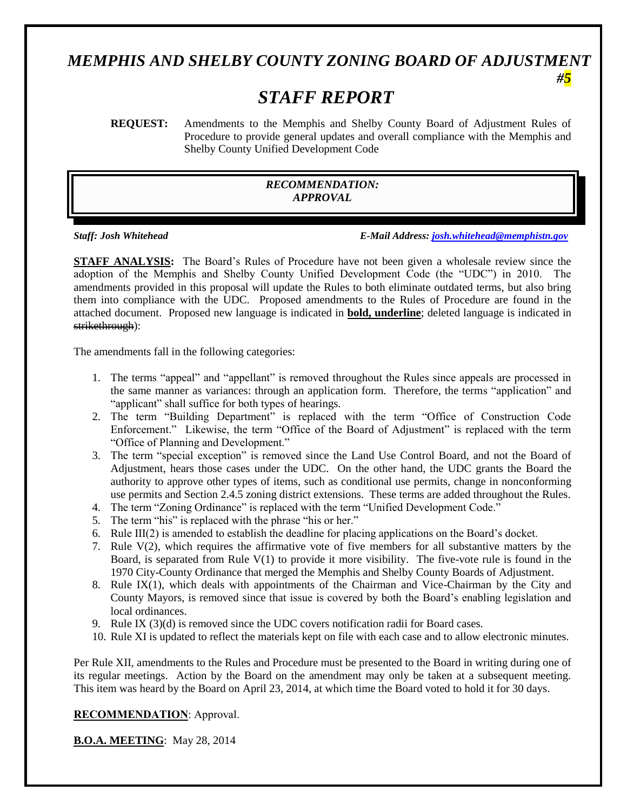# *MEMPHIS AND SHELBY COUNTY ZONING BOARD OF ADJUSTMENT*

# *STAFF REPORT*

**REQUEST:** Amendments to the Memphis and Shelby County Board of Adjustment Rules of Procedure to provide general updates and overall compliance with the Memphis and Shelby County Unified Development Code

#### *RECOMMENDATION: APPROVAL*

*Staff: Josh Whitehead E-Mail Address: [josh.whitehead@memphistn.gov](mailto:josh.whitehead@memphistn.gov)*

*#5*

**STAFF ANALYSIS:** The Board's Rules of Procedure have not been given a wholesale review since the adoption of the Memphis and Shelby County Unified Development Code (the "UDC") in 2010. The amendments provided in this proposal will update the Rules to both eliminate outdated terms, but also bring them into compliance with the UDC. Proposed amendments to the Rules of Procedure are found in the attached document. Proposed new language is indicated in **bold, underline**; deleted language is indicated in strikethrough):

The amendments fall in the following categories:

- 1. The terms "appeal" and "appellant" is removed throughout the Rules since appeals are processed in the same manner as variances: through an application form. Therefore, the terms "application" and "applicant" shall suffice for both types of hearings.
- 2. The term "Building Department" is replaced with the term "Office of Construction Code Enforcement." Likewise, the term "Office of the Board of Adjustment" is replaced with the term "Office of Planning and Development."
- 3. The term "special exception" is removed since the Land Use Control Board, and not the Board of Adjustment, hears those cases under the UDC. On the other hand, the UDC grants the Board the authority to approve other types of items, such as conditional use permits, change in nonconforming use permits and Section 2.4.5 zoning district extensions. These terms are added throughout the Rules.
- 4. The term "Zoning Ordinance" is replaced with the term "Unified Development Code."
- 5. The term "his" is replaced with the phrase "his or her."
- 6. Rule III(2) is amended to establish the deadline for placing applications on the Board's docket.
- 7. Rule V(2), which requires the affirmative vote of five members for all substantive matters by the Board, is separated from Rule V(1) to provide it more visibility. The five-vote rule is found in the 1970 City-County Ordinance that merged the Memphis and Shelby County Boards of Adjustment.
- 8. Rule IX(1), which deals with appointments of the Chairman and Vice-Chairman by the City and County Mayors, is removed since that issue is covered by both the Board's enabling legislation and local ordinances.
- 9. Rule IX (3)(d) is removed since the UDC covers notification radii for Board cases.
- 10. Rule XI is updated to reflect the materials kept on file with each case and to allow electronic minutes.

Per Rule XII, amendments to the Rules and Procedure must be presented to the Board in writing during one of its regular meetings. Action by the Board on the amendment may only be taken at a subsequent meeting. This item was heard by the Board on April 23, 2014, at which time the Board voted to hold it for 30 days.

#### **RECOMMENDATION**: Approval.

**B.O.A. MEETING**: May 28, 2014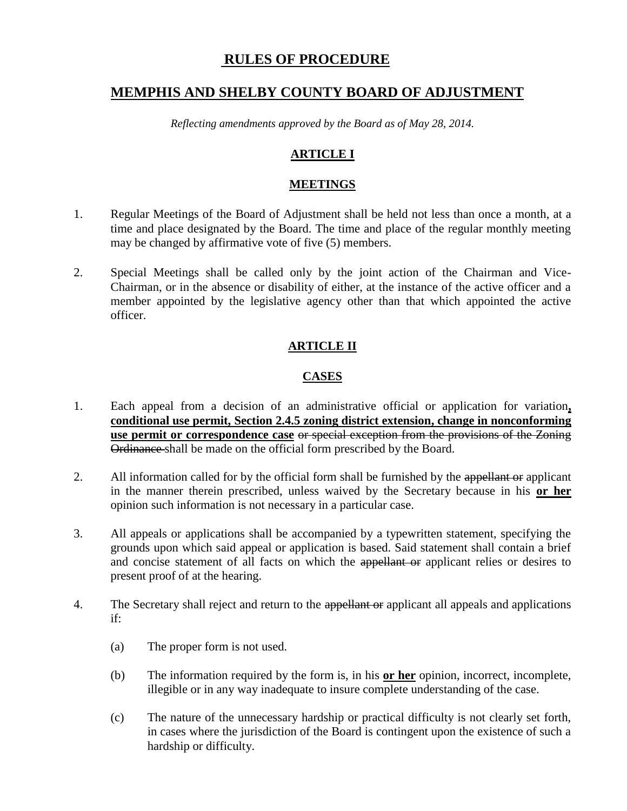# **RULES OF PROCEDURE**

# **MEMPHIS AND SHELBY COUNTY BOARD OF ADJUSTMENT**

*Reflecting amendments approved by the Board as of May 28, 2014.*

# **ARTICLE I**

#### **MEETINGS**

- 1. Regular Meetings of the Board of Adjustment shall be held not less than once a month, at a time and place designated by the Board. The time and place of the regular monthly meeting may be changed by affirmative vote of five (5) members.
- 2. Special Meetings shall be called only by the joint action of the Chairman and Vice-Chairman, or in the absence or disability of either, at the instance of the active officer and a member appointed by the legislative agency other than that which appointed the active officer.

# **ARTICLE II**

# **CASES**

- 1. Each appeal from a decision of an administrative official or application for variation**, conditional use permit, Section 2.4.5 zoning district extension, change in nonconforming use permit or correspondence case** or special exception from the provisions of the Zoning Ordinance shall be made on the official form prescribed by the Board.
- 2. All information called for by the official form shall be furnished by the appellant or applicant in the manner therein prescribed, unless waived by the Secretary because in his **or her** opinion such information is not necessary in a particular case.
- 3. All appeals or applications shall be accompanied by a typewritten statement, specifying the grounds upon which said appeal or application is based. Said statement shall contain a brief and concise statement of all facts on which the appellant or applicant relies or desires to present proof of at the hearing.
- 4. The Secretary shall reject and return to the appellant or applicant all appeals and applications if:
	- (a) The proper form is not used.
	- (b) The information required by the form is, in his **or her** opinion, incorrect, incomplete, illegible or in any way inadequate to insure complete understanding of the case.
	- (c) The nature of the unnecessary hardship or practical difficulty is not clearly set forth, in cases where the jurisdiction of the Board is contingent upon the existence of such a hardship or difficulty.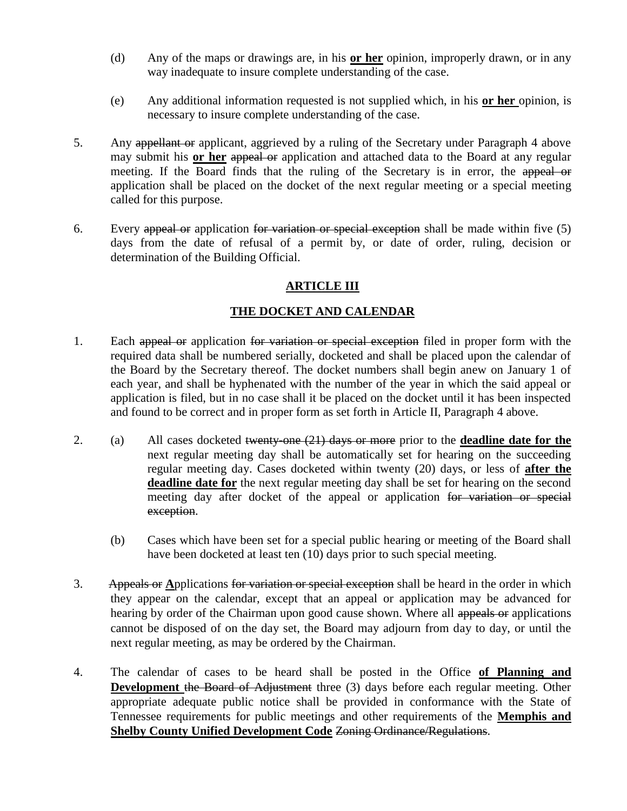- (d) Any of the maps or drawings are, in his **or her** opinion, improperly drawn, or in any way inadequate to insure complete understanding of the case.
- (e) Any additional information requested is not supplied which, in his **or her** opinion, is necessary to insure complete understanding of the case.
- 5. Any appellant or applicant, aggrieved by a ruling of the Secretary under Paragraph 4 above may submit his **or her** appeal or application and attached data to the Board at any regular meeting. If the Board finds that the ruling of the Secretary is in error, the appeal or application shall be placed on the docket of the next regular meeting or a special meeting called for this purpose.
- 6. Every appeal or application for variation or special exception shall be made within five (5) days from the date of refusal of a permit by, or date of order, ruling, decision or determination of the Building Official.

# **ARTICLE III**

# **THE DOCKET AND CALENDAR**

- 1. Each appeal or application for variation or special exception filed in proper form with the required data shall be numbered serially, docketed and shall be placed upon the calendar of the Board by the Secretary thereof. The docket numbers shall begin anew on January 1 of each year, and shall be hyphenated with the number of the year in which the said appeal or application is filed, but in no case shall it be placed on the docket until it has been inspected and found to be correct and in proper form as set forth in Article II, Paragraph 4 above.
- 2. (a) All cases docketed twenty-one (21) days or more prior to the **deadline date for the** next regular meeting day shall be automatically set for hearing on the succeeding regular meeting day. Cases docketed within twenty (20) days, or less of **after the deadline date for** the next regular meeting day shall be set for hearing on the second meeting day after docket of the appeal or application for variation or special exception.
	- (b) Cases which have been set for a special public hearing or meeting of the Board shall have been docketed at least ten (10) days prior to such special meeting.
- 3. Appeals or **A**pplications for variation or special exception shall be heard in the order in which they appear on the calendar, except that an appeal or application may be advanced for hearing by order of the Chairman upon good cause shown. Where all appeals or applications cannot be disposed of on the day set, the Board may adjourn from day to day, or until the next regular meeting, as may be ordered by the Chairman.
- 4. The calendar of cases to be heard shall be posted in the Office **of Planning and Development the Board of Adjustment** three (3) days before each regular meeting. Other appropriate adequate public notice shall be provided in conformance with the State of Tennessee requirements for public meetings and other requirements of the **Memphis and Shelby County Unified Development Code Zoning Ordinance/Regulations.**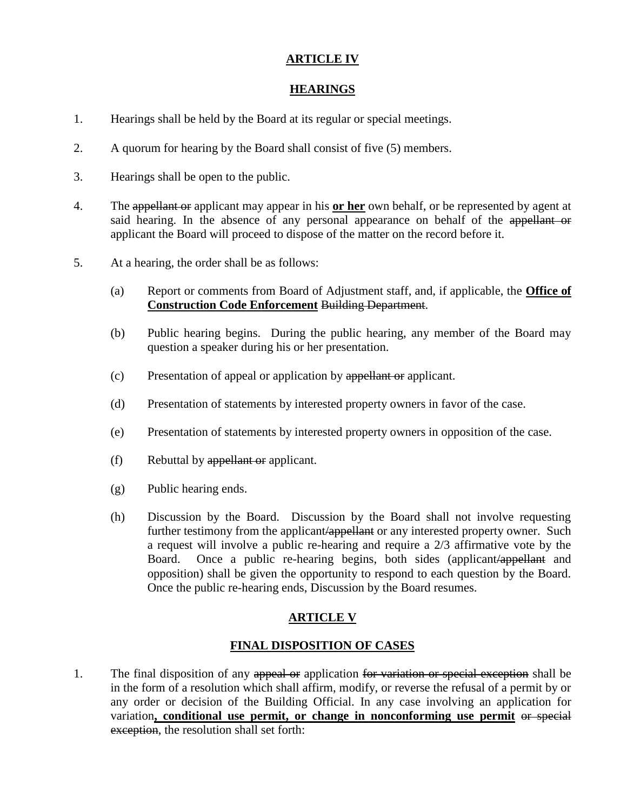# **ARTICLE IV**

# **HEARINGS**

- 1. Hearings shall be held by the Board at its regular or special meetings.
- 2. A quorum for hearing by the Board shall consist of five (5) members.
- 3. Hearings shall be open to the public.
- 4. The appellant or applicant may appear in his **or her** own behalf, or be represented by agent at said hearing. In the absence of any personal appearance on behalf of the appellant or applicant the Board will proceed to dispose of the matter on the record before it.
- 5. At a hearing, the order shall be as follows:
	- (a) Report or comments from Board of Adjustment staff, and, if applicable, the **Office of Construction Code Enforcement** Building Department.
	- (b) Public hearing begins. During the public hearing, any member of the Board may question a speaker during his or her presentation.
	- (c) Presentation of appeal or application by appellant or applicant.
	- (d) Presentation of statements by interested property owners in favor of the case.
	- (e) Presentation of statements by interested property owners in opposition of the case.
	- (f) Rebuttal by appellant or applicant.
	- (g) Public hearing ends.
	- (h) Discussion by the Board. Discussion by the Board shall not involve requesting further testimony from the applicant/appellant or any interested property owner. Such a request will involve a public re-hearing and require a 2/3 affirmative vote by the Board. Once a public re-hearing begins, both sides (applicant/appellant and opposition) shall be given the opportunity to respond to each question by the Board. Once the public re-hearing ends, Discussion by the Board resumes.

# **ARTICLE V**

# **FINAL DISPOSITION OF CASES**

1. The final disposition of any appeal or application for variation or special exception shall be in the form of a resolution which shall affirm, modify, or reverse the refusal of a permit by or any order or decision of the Building Official. In any case involving an application for variation**, conditional use permit, or change in nonconforming use permit** or special exception, the resolution shall set forth: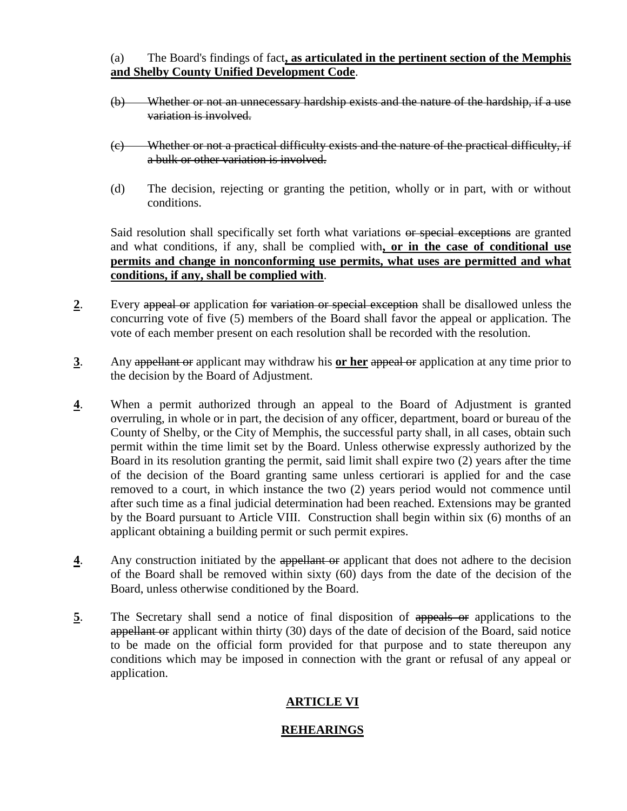#### (a) The Board's findings of fact**, as articulated in the pertinent section of the Memphis and Shelby County Unified Development Code**.

- (b) Whether or not an unnecessary hardship exists and the nature of the hardship, if a use variation is involved.
- (c) Whether or not a practical difficulty exists and the nature of the practical difficulty, if a bulk or other variation is involved.
- (d) The decision, rejecting or granting the petition, wholly or in part, with or without conditions.

Said resolution shall specifically set forth what variations or special exceptions are granted and what conditions, if any, shall be complied with**, or in the case of conditional use permits and change in nonconforming use permits, what uses are permitted and what conditions, if any, shall be complied with**.

- **2**. Every appeal or application for variation or special exception shall be disallowed unless the concurring vote of five (5) members of the Board shall favor the appeal or application. The vote of each member present on each resolution shall be recorded with the resolution.
- **3**. Any appellant or applicant may withdraw his **or her** appeal or application at any time prior to the decision by the Board of Adjustment.
- **4**. When a permit authorized through an appeal to the Board of Adjustment is granted overruling, in whole or in part, the decision of any officer, department, board or bureau of the County of Shelby, or the City of Memphis, the successful party shall, in all cases, obtain such permit within the time limit set by the Board. Unless otherwise expressly authorized by the Board in its resolution granting the permit, said limit shall expire two (2) years after the time of the decision of the Board granting same unless certiorari is applied for and the case removed to a court, in which instance the two (2) years period would not commence until after such time as a final judicial determination had been reached. Extensions may be granted by the Board pursuant to Article VIII. Construction shall begin within six (6) months of an applicant obtaining a building permit or such permit expires.
- **4**. Any construction initiated by the appellant or applicant that does not adhere to the decision of the Board shall be removed within sixty (60) days from the date of the decision of the Board, unless otherwise conditioned by the Board.
- **5**. The Secretary shall send a notice of final disposition of appeals or applications to the appellant or applicant within thirty (30) days of the date of decision of the Board, said notice to be made on the official form provided for that purpose and to state thereupon any conditions which may be imposed in connection with the grant or refusal of any appeal or application.

# **ARTICLE VI**

# **REHEARINGS**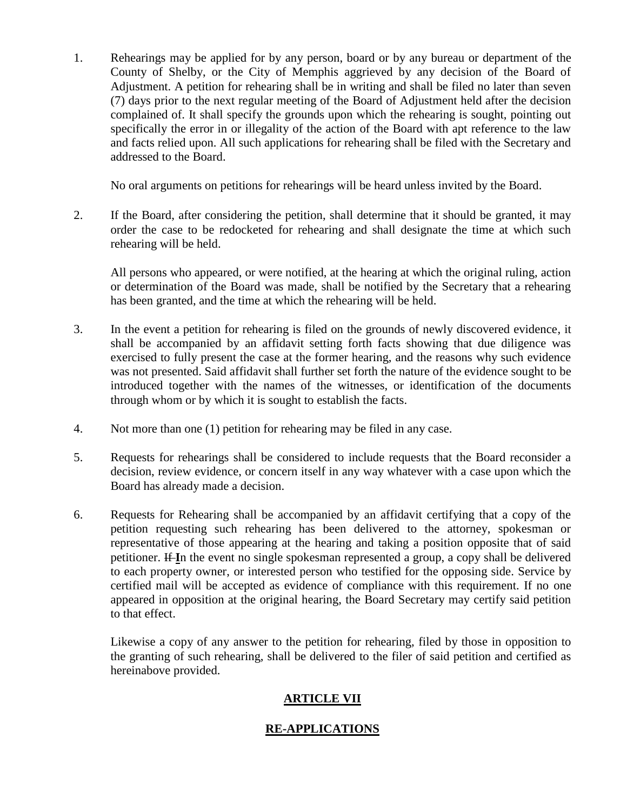1. Rehearings may be applied for by any person, board or by any bureau or department of the County of Shelby, or the City of Memphis aggrieved by any decision of the Board of Adjustment. A petition for rehearing shall be in writing and shall be filed no later than seven (7) days prior to the next regular meeting of the Board of Adjustment held after the decision complained of. It shall specify the grounds upon which the rehearing is sought, pointing out specifically the error in or illegality of the action of the Board with apt reference to the law and facts relied upon. All such applications for rehearing shall be filed with the Secretary and addressed to the Board.

No oral arguments on petitions for rehearings will be heard unless invited by the Board.

2. If the Board, after considering the petition, shall determine that it should be granted, it may order the case to be redocketed for rehearing and shall designate the time at which such rehearing will be held.

All persons who appeared, or were notified, at the hearing at which the original ruling, action or determination of the Board was made, shall be notified by the Secretary that a rehearing has been granted, and the time at which the rehearing will be held.

- 3. In the event a petition for rehearing is filed on the grounds of newly discovered evidence, it shall be accompanied by an affidavit setting forth facts showing that due diligence was exercised to fully present the case at the former hearing, and the reasons why such evidence was not presented. Said affidavit shall further set forth the nature of the evidence sought to be introduced together with the names of the witnesses, or identification of the documents through whom or by which it is sought to establish the facts.
- 4. Not more than one (1) petition for rehearing may be filed in any case.
- 5. Requests for rehearings shall be considered to include requests that the Board reconsider a decision, review evidence, or concern itself in any way whatever with a case upon which the Board has already made a decision.
- 6. Requests for Rehearing shall be accompanied by an affidavit certifying that a copy of the petition requesting such rehearing has been delivered to the attorney, spokesman or representative of those appearing at the hearing and taking a position opposite that of said petitioner. If **I**n the event no single spokesman represented a group, a copy shall be delivered to each property owner, or interested person who testified for the opposing side. Service by certified mail will be accepted as evidence of compliance with this requirement. If no one appeared in opposition at the original hearing, the Board Secretary may certify said petition to that effect.

Likewise a copy of any answer to the petition for rehearing, filed by those in opposition to the granting of such rehearing, shall be delivered to the filer of said petition and certified as hereinabove provided.

# **ARTICLE VII**

# **RE-APPLICATIONS**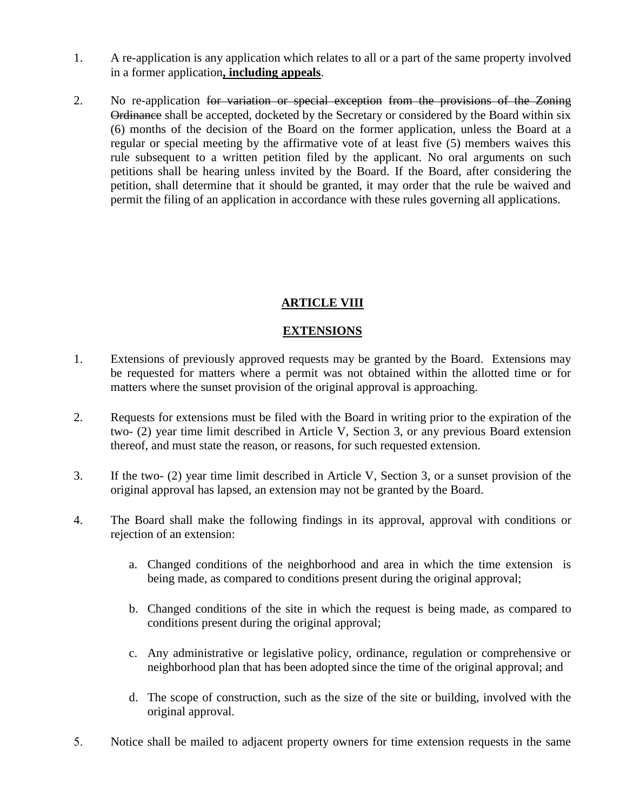- 1. A re-application is any application which relates to all or a part of the same property involved in a former application**, including appeals**.
- 2. No re-application for variation or special exception from the provisions of the Zoning Ordinance shall be accepted, docketed by the Secretary or considered by the Board within six (6) months of the decision of the Board on the former application, unless the Board at a regular or special meeting by the affirmative vote of at least five (5) members waives this rule subsequent to a written petition filed by the applicant. No oral arguments on such petitions shall be hearing unless invited by the Board. If the Board, after considering the petition, shall determine that it should be granted, it may order that the rule be waived and permit the filing of an application in accordance with these rules governing all applications.

# **ARTICLE VIII**

# **EXTENSIONS**

- 1. Extensions of previously approved requests may be granted by the Board. Extensions may be requested for matters where a permit was not obtained within the allotted time or for matters where the sunset provision of the original approval is approaching.
- 2. Requests for extensions must be filed with the Board in writing prior to the expiration of the two- (2) year time limit described in Article V, Section 3, or any previous Board extension thereof, and must state the reason, or reasons, for such requested extension.
- 3. If the two- (2) year time limit described in Article V, Section 3, or a sunset provision of the original approval has lapsed, an extension may not be granted by the Board.
- 4. The Board shall make the following findings in its approval, approval with conditions or rejection of an extension:
	- a. Changed conditions of the neighborhood and area in which the time extension is being made, as compared to conditions present during the original approval;
	- b. Changed conditions of the site in which the request is being made, as compared to conditions present during the original approval;
	- c. Any administrative or legislative policy, ordinance, regulation or comprehensive or neighborhood plan that has been adopted since the time of the original approval; and
	- d. The scope of construction, such as the size of the site or building, involved with the original approval.
- 5. Notice shall be mailed to adjacent property owners for time extension requests in the same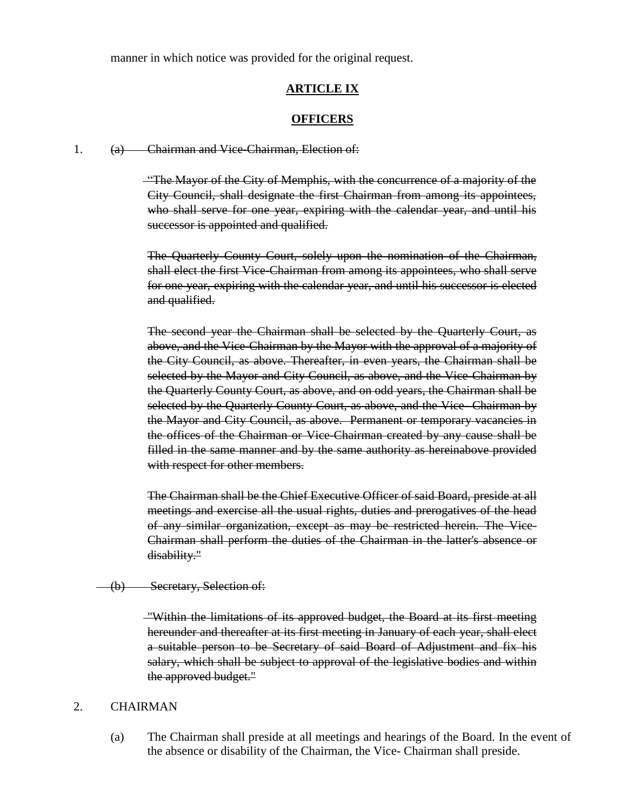manner in which notice was provided for the original request.

#### **ARTICLE IX**

#### **OFFICERS**

1. (a) Chairman and Vice-Chairman, Election of:

"The Mayor of the City of Memphis, with the concurrence of a majority of the City Council, shall designate the first Chairman from among its appointees, who shall serve for one year, expiring with the calendar year, and until his successor is appointed and qualified.

The Quarterly County Court, solely upon the nomination of the Chairman, shall elect the first Vice-Chairman from among its appointees, who shall serve for one year, expiring with the calendar year, and until his successor is elected and qualified.

The second year the Chairman shall be selected by the Quarterly Court, as above, and the Vice-Chairman by the Mayor with the approval of a majority of the City Council, as above. Thereafter, in even years, the Chairman shall be selected by the Mayor and City Council, as above, and the Vice-Chairman by the Quarterly County Court, as above, and on odd years, the Chairman shall be selected by the Quarterly County Court, as above, and the Vice–Chairman by the Mayor and City Council, as above. Permanent or temporary vacancies in the offices of the Chairman or Vice-Chairman created by any cause shall be filled in the same manner and by the same authority as hereinabove provided with respect for other members.

The Chairman shall be the Chief Executive Officer of said Board, preside at all meetings and exercise all the usual rights, duties and prerogatives of the head of any similar organization, except as may be restricted herein. The Vice-Chairman shall perform the duties of the Chairman in the latter's absence or disability."

(b) Secretary, Selection of:

"Within the limitations of its approved budget, the Board at its first meeting hereunder and thereafter at its first meeting in January of each year, shall elect a suitable person to be Secretary of said Board of Adjustment and fix his salary, which shall be subject to approval of the legislative bodies and within the approved budget."

#### 2. CHAIRMAN

(a) The Chairman shall preside at all meetings and hearings of the Board. In the event of the absence or disability of the Chairman, the Vice- Chairman shall preside.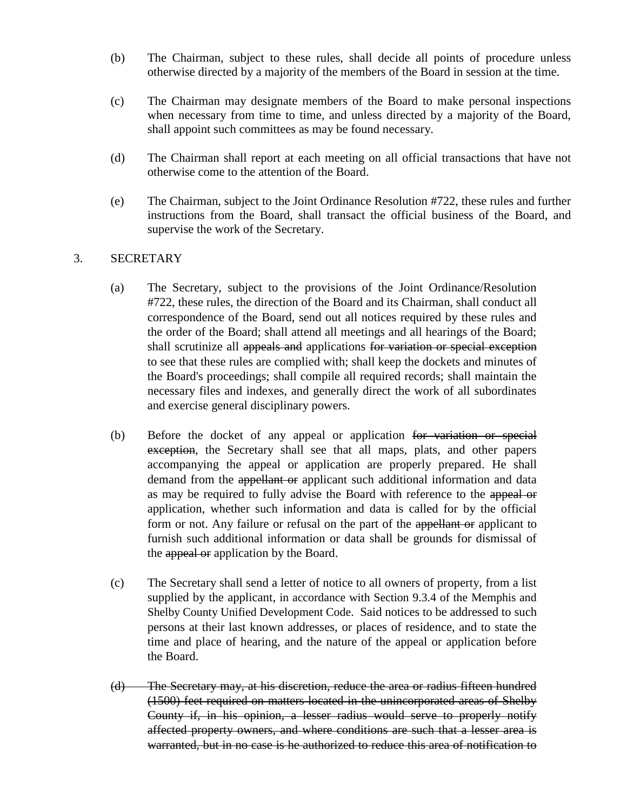- (b) The Chairman, subject to these rules, shall decide all points of procedure unless otherwise directed by a majority of the members of the Board in session at the time.
- (c) The Chairman may designate members of the Board to make personal inspections when necessary from time to time, and unless directed by a majority of the Board, shall appoint such committees as may be found necessary.
- (d) The Chairman shall report at each meeting on all official transactions that have not otherwise come to the attention of the Board.
- (e) The Chairman, subject to the Joint Ordinance Resolution #722, these rules and further instructions from the Board, shall transact the official business of the Board, and supervise the work of the Secretary.

# 3. SECRETARY

- (a) The Secretary, subject to the provisions of the Joint Ordinance/Resolution #722, these rules, the direction of the Board and its Chairman, shall conduct all correspondence of the Board, send out all notices required by these rules and the order of the Board; shall attend all meetings and all hearings of the Board; shall scrutinize all appeals and applications for variation or special exception to see that these rules are complied with; shall keep the dockets and minutes of the Board's proceedings; shall compile all required records; shall maintain the necessary files and indexes, and generally direct the work of all subordinates and exercise general disciplinary powers.
- (b) Before the docket of any appeal or application for variation or special exception, the Secretary shall see that all maps, plats, and other papers accompanying the appeal or application are properly prepared. He shall demand from the appellant or applicant such additional information and data as may be required to fully advise the Board with reference to the appeal or application, whether such information and data is called for by the official form or not. Any failure or refusal on the part of the appellant or applicant to furnish such additional information or data shall be grounds for dismissal of the appeal or application by the Board.
- (c) The Secretary shall send a letter of notice to all owners of property, from a list supplied by the applicant, in accordance with Section 9.3.4 of the Memphis and Shelby County Unified Development Code. Said notices to be addressed to such persons at their last known addresses, or places of residence, and to state the time and place of hearing, and the nature of the appeal or application before the Board.
- (d) The Secretary may, at his discretion, reduce the area or radius fifteen hundred (1500) feet required on matters located in the unincorporated areas of Shelby County if, in his opinion, a lesser radius would serve to properly notify affected property owners, and where conditions are such that a lesser area is warranted, but in no case is he authorized to reduce this area of notification to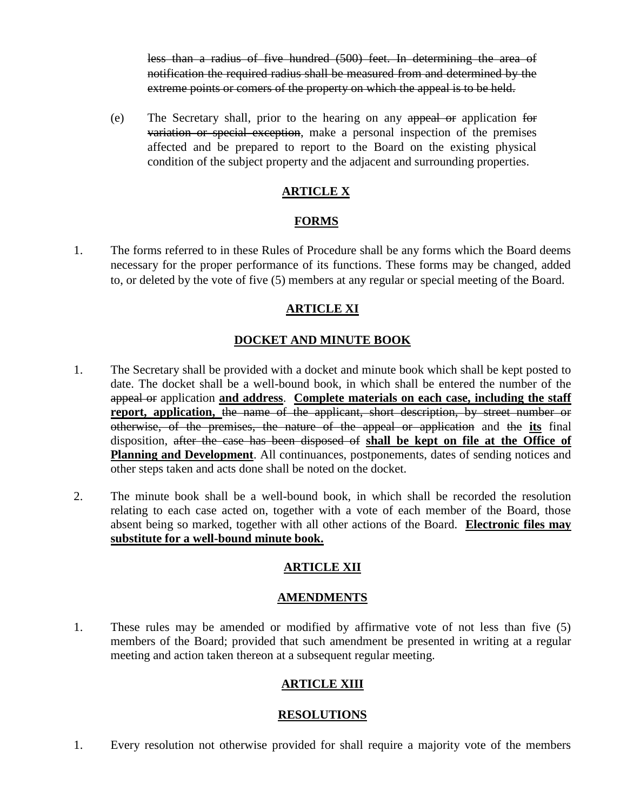less than a radius of five hundred (500) feet. In determining the area of notification the required radius shall be measured from and determined by the extreme points or comers of the property on which the appeal is to be held.

(e) The Secretary shall, prior to the hearing on any appeal or application for variation or special exception, make a personal inspection of the premises affected and be prepared to report to the Board on the existing physical condition of the subject property and the adjacent and surrounding properties.

# **ARTICLE X**

#### **FORMS**

1. The forms referred to in these Rules of Procedure shall be any forms which the Board deems necessary for the proper performance of its functions. These forms may be changed, added to, or deleted by the vote of five (5) members at any regular or special meeting of the Board.

# **ARTICLE XI**

# **DOCKET AND MINUTE BOOK**

- 1. The Secretary shall be provided with a docket and minute book which shall be kept posted to date. The docket shall be a well-bound book, in which shall be entered the number of the appeal or application **and address**. **Complete materials on each case, including the staff report, application,** the name of the applicant, short description, by street number or otherwise, of the premises, the nature of the appeal or application and the **its** final disposition, after the case has been disposed of **shall be kept on file at the Office of Planning and Development**. All continuances, postponements, dates of sending notices and other steps taken and acts done shall be noted on the docket.
- 2. The minute book shall be a well-bound book, in which shall be recorded the resolution relating to each case acted on, together with a vote of each member of the Board, those absent being so marked, together with all other actions of the Board. **Electronic files may substitute for a well-bound minute book.**

# **ARTICLE XII**

# **AMENDMENTS**

1. These rules may be amended or modified by affirmative vote of not less than five (5) members of the Board; provided that such amendment be presented in writing at a regular meeting and action taken thereon at a subsequent regular meeting.

# **ARTICLE XIII**

# **RESOLUTIONS**

1. Every resolution not otherwise provided for shall require a majority vote of the members